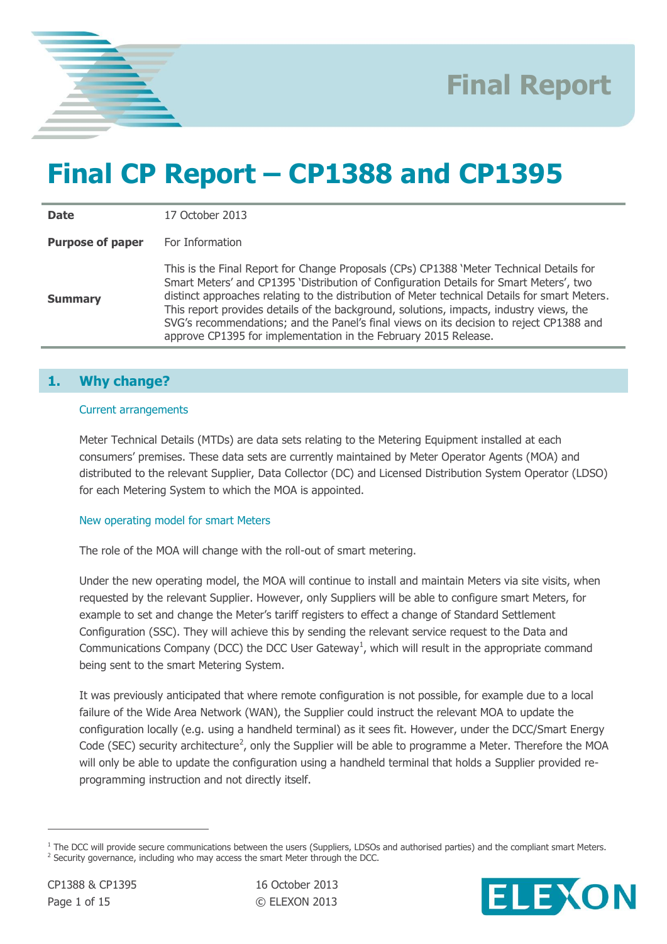

# **Final CP Report – CP1388 and CP1395**

**Date** 17 October 2013 **Purpose of paper** For Information

**Summary** This is the Final Report for Change Proposals (CPs) CP1388 'Meter Technical Details for Smart Meters' and CP1395 'Distribution of Configuration Details for Smart Meters', two distinct approaches relating to the distribution of Meter technical Details for smart Meters. This report provides details of the background, solutions, impacts, industry views, the SVG's recommendations; and the Panel's final views on its decision to reject CP1388 and approve CP1395 for implementation in the February 2015 Release.

## **1. Why change?**

#### Current arrangements

Meter Technical Details (MTDs) are data sets relating to the Metering Equipment installed at each consumers' premises. These data sets are currently maintained by Meter Operator Agents (MOA) and distributed to the relevant Supplier, Data Collector (DC) and Licensed Distribution System Operator (LDSO) for each Metering System to which the MOA is appointed.

#### New operating model for smart Meters

The role of the MOA will change with the roll-out of smart metering.

Under the new operating model, the MOA will continue to install and maintain Meters via site visits, when requested by the relevant Supplier. However, only Suppliers will be able to configure smart Meters, for example to set and change the Meter's tariff registers to effect a change of Standard Settlement Configuration (SSC). They will achieve this by sending the relevant service request to the Data and Communications Company (DCC) the DCC User Gateway<sup>1</sup>, which will result in the appropriate command being sent to the smart Metering System.

It was previously anticipated that where remote configuration is not possible, for example due to a local failure of the Wide Area Network (WAN), the Supplier could instruct the relevant MOA to update the configuration locally (e.g. using a handheld terminal) as it sees fit. However, under the DCC/Smart Energy Code (SEC) security architecture<sup>2</sup>, only the Supplier will be able to programme a Meter. Therefore the MOA will only be able to update the configuration using a handheld terminal that holds a Supplier provided reprogramming instruction and not directly itself.



 $1$  The DCC will provide secure communications between the users (Suppliers, LDSOs and authorised parties) and the compliant smart Meters.  $2$  Security governance, including who may access the smart Meter through the DCC.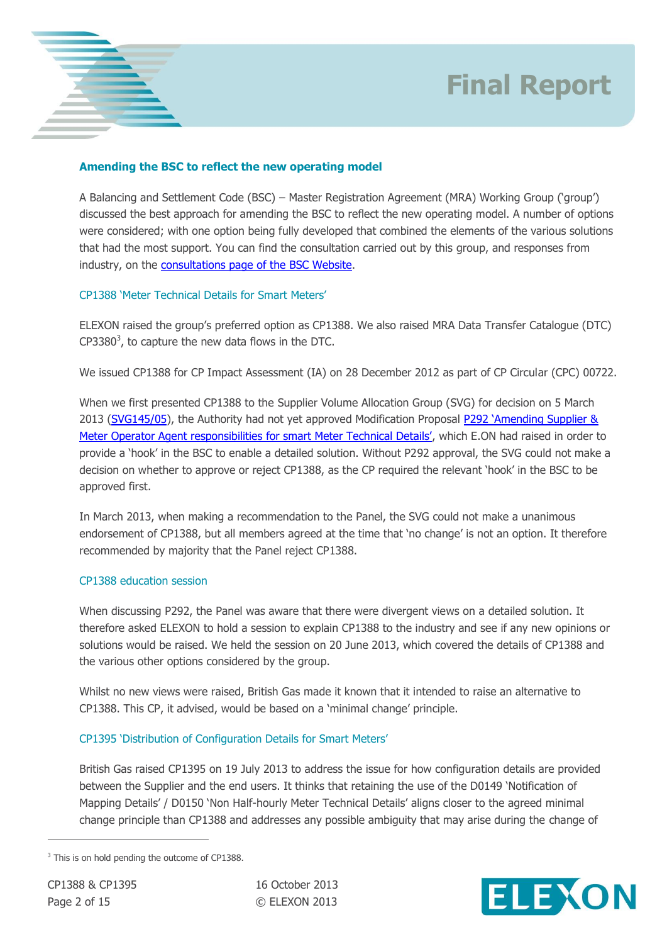



### **Amending the BSC to reflect the new operating model**

A Balancing and Settlement Code (BSC) – Master Registration Agreement (MRA) Working Group ('group') discussed the best approach for amending the BSC to reflect the new operating model. A number of options were considered; with one option being fully developed that combined the elements of the various solutions that had the most support. You can find the consultation carried out by this group, and responses from industry, on the [consultations page of the BSC Website.](http://www.elexon.co.uk/about/insights-consultations-cpcs/consultations/6/?show=5&type=all&sortby=consultation_issue_date)

#### CP1388 'Meter Technical Details for Smart Meters'

ELEXON raised the group's preferred option as CP1388. We also raised MRA Data Transfer Catalogue (DTC)  $CP3380<sup>3</sup>$ , to capture the new data flows in the DTC.

We issued CP1388 for CP Impact Assessment (IA) on 28 December 2012 as part of CP Circular (CPC) 00722.

When we first presented CP1388 to the Supplier Volume Allocation Group (SVG) for decision on 5 March 2013 [\(SVG145/05\)](http://www.elexon.co.uk/meeting/svg-145/), the Authority had not yet approved Modification Proposal P292 'Amending Supplier & [Meter Operator Agent responsibilities for smart Meter Technical Details'](http://www.elexon.co.uk/mod-proposal/p292/), which E.ON had raised in order to provide a 'hook' in the BSC to enable a detailed solution. Without P292 approval, the SVG could not make a decision on whether to approve or reject CP1388, as the CP required the relevant 'hook' in the BSC to be approved first.

In March 2013, when making a recommendation to the Panel, the SVG could not make a unanimous endorsement of CP1388, but all members agreed at the time that 'no change' is not an option. It therefore recommended by majority that the Panel reject CP1388.

#### CP1388 education session

When discussing P292, the Panel was aware that there were divergent views on a detailed solution. It therefore asked ELEXON to hold a session to explain CP1388 to the industry and see if any new opinions or solutions would be raised. We held the session on 20 June 2013, which covered the details of CP1388 and the various other options considered by the group.

Whilst no new views were raised, British Gas made it known that it intended to raise an alternative to CP1388. This CP, it advised, would be based on a 'minimal change' principle.

## CP1395 'Distribution of Configuration Details for Smart Meters'

British Gas raised CP1395 on 19 July 2013 to address the issue for how configuration details are provided between the Supplier and the end users. It thinks that retaining the use of the D0149 'Notification of Mapping Details' / D0150 'Non Half-hourly Meter Technical Details' aligns closer to the agreed minimal change principle than CP1388 and addresses any possible ambiguity that may arise during the change of



<sup>&</sup>lt;sup>3</sup> This is on hold pending the outcome of CP1388.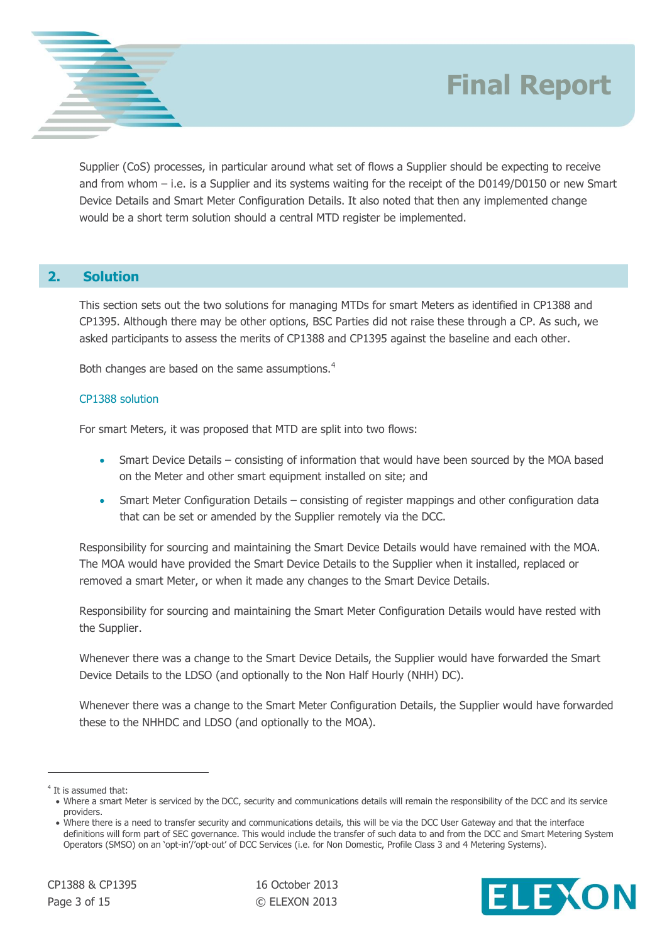

Supplier (CoS) processes, in particular around what set of flows a Supplier should be expecting to receive and from whom – i.e. is a Supplier and its systems waiting for the receipt of the D0149/D0150 or new Smart Device Details and Smart Meter Configuration Details. It also noted that then any implemented change would be a short term solution should a central MTD register be implemented.

## **2. Solution**

This section sets out the two solutions for managing MTDs for smart Meters as identified in CP1388 and CP1395. Although there may be other options, BSC Parties did not raise these through a CP. As such, we asked participants to assess the merits of CP1388 and CP1395 against the baseline and each other.

Both changes are based on the same assumptions.<sup>4</sup>

### CP1388 solution

For smart Meters, it was proposed that MTD are split into two flows:

- Smart Device Details consisting of information that would have been sourced by the MOA based on the Meter and other smart equipment installed on site; and
- Smart Meter Configuration Details consisting of register mappings and other configuration data that can be set or amended by the Supplier remotely via the DCC.

Responsibility for sourcing and maintaining the Smart Device Details would have remained with the MOA. The MOA would have provided the Smart Device Details to the Supplier when it installed, replaced or removed a smart Meter, or when it made any changes to the Smart Device Details.

Responsibility for sourcing and maintaining the Smart Meter Configuration Details would have rested with the Supplier.

Whenever there was a change to the Smart Device Details, the Supplier would have forwarded the Smart Device Details to the LDSO (and optionally to the Non Half Hourly (NHH) DC).

Whenever there was a change to the Smart Meter Configuration Details, the Supplier would have forwarded these to the NHHDC and LDSO (and optionally to the MOA).



<sup>&</sup>lt;sup>4</sup> It is assumed that:

Where a smart Meter is serviced by the DCC, security and communications details will remain the responsibility of the DCC and its service providers.

Where there is a need to transfer security and communications details, this will be via the DCC User Gateway and that the interface definitions will form part of SEC governance. This would include the transfer of such data to and from the DCC and Smart Metering System Operators (SMSO) on an 'opt-in'/'opt-out' of DCC Services (i.e. for Non Domestic, Profile Class 3 and 4 Metering Systems).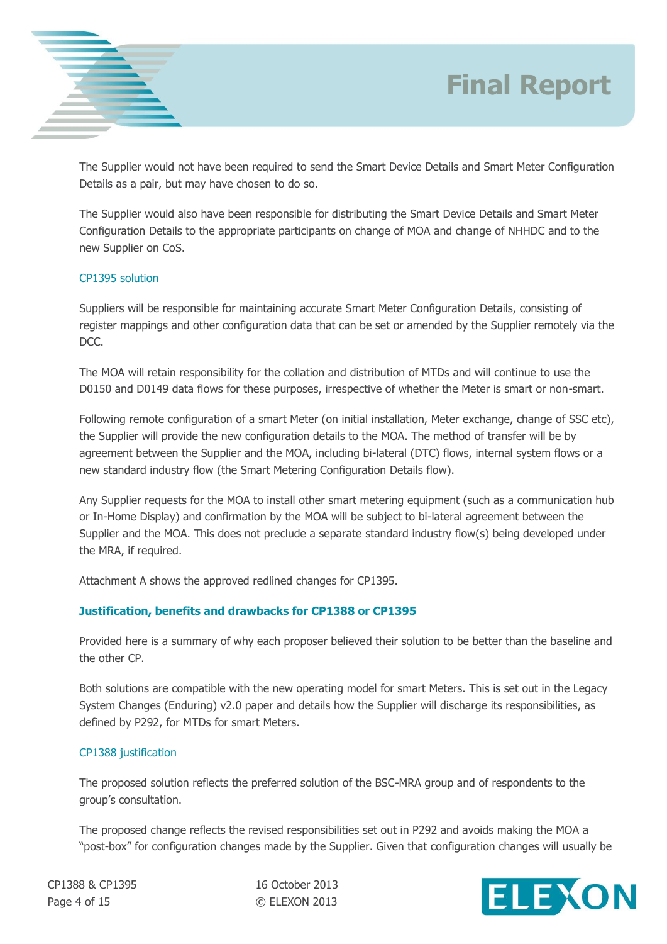

The Supplier would not have been required to send the Smart Device Details and Smart Meter Configuration Details as a pair, but may have chosen to do so.

The Supplier would also have been responsible for distributing the Smart Device Details and Smart Meter Configuration Details to the appropriate participants on change of MOA and change of NHHDC and to the new Supplier on CoS.

### CP1395 solution

Suppliers will be responsible for maintaining accurate Smart Meter Configuration Details, consisting of register mappings and other configuration data that can be set or amended by the Supplier remotely via the DCC.

The MOA will retain responsibility for the collation and distribution of MTDs and will continue to use the D0150 and D0149 data flows for these purposes, irrespective of whether the Meter is smart or non-smart.

Following remote configuration of a smart Meter (on initial installation, Meter exchange, change of SSC etc), the Supplier will provide the new configuration details to the MOA. The method of transfer will be by agreement between the Supplier and the MOA, including bi-lateral (DTC) flows, internal system flows or a new standard industry flow (the Smart Metering Configuration Details flow).

Any Supplier requests for the MOA to install other smart metering equipment (such as a communication hub or In-Home Display) and confirmation by the MOA will be subject to bi-lateral agreement between the Supplier and the MOA. This does not preclude a separate standard industry flow(s) being developed under the MRA, if required.

Attachment A shows the approved redlined changes for CP1395.

## **Justification, benefits and drawbacks for CP1388 or CP1395**

Provided here is a summary of why each proposer believed their solution to be better than the baseline and the other CP.

Both solutions are compatible with the new operating model for smart Meters. This is set out in the Legacy System Changes (Enduring) v2.0 paper and details how the Supplier will discharge its responsibilities, as defined by P292, for MTDs for smart Meters.

#### CP1388 justification

The proposed solution reflects the preferred solution of the BSC-MRA group and of respondents to the group's consultation.

The proposed change reflects the revised responsibilities set out in P292 and avoids making the MOA a "post-box" for configuration changes made by the Supplier. Given that configuration changes will usually be

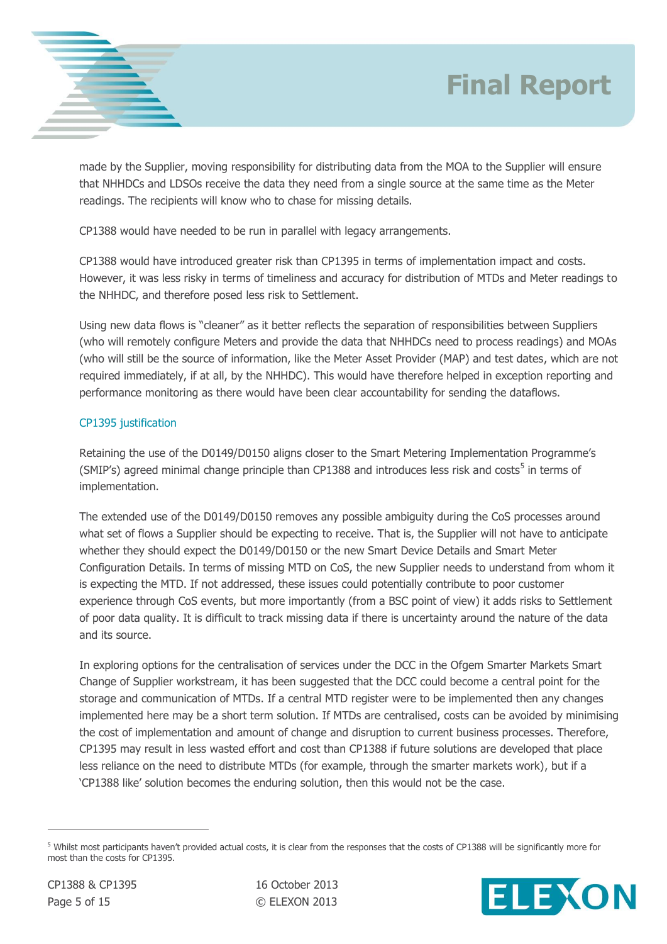

made by the Supplier, moving responsibility for distributing data from the MOA to the Supplier will ensure that NHHDCs and LDSOs receive the data they need from a single source at the same time as the Meter readings. The recipients will know who to chase for missing details.

CP1388 would have needed to be run in parallel with legacy arrangements.

CP1388 would have introduced greater risk than CP1395 in terms of implementation impact and costs. However, it was less risky in terms of timeliness and accuracy for distribution of MTDs and Meter readings to the NHHDC, and therefore posed less risk to Settlement.

Using new data flows is "cleaner" as it better reflects the separation of responsibilities between Suppliers (who will remotely configure Meters and provide the data that NHHDCs need to process readings) and MOAs (who will still be the source of information, like the Meter Asset Provider (MAP) and test dates, which are not required immediately, if at all, by the NHHDC). This would have therefore helped in exception reporting and performance monitoring as there would have been clear accountability for sending the dataflows.

### CP1395 justification

Retaining the use of the D0149/D0150 aligns closer to the Smart Metering Implementation Programme's (SMIP's) agreed minimal change principle than CP1388 and introduces less risk and costs<sup>5</sup> in terms of implementation.

The extended use of the D0149/D0150 removes any possible ambiguity during the CoS processes around what set of flows a Supplier should be expecting to receive. That is, the Supplier will not have to anticipate whether they should expect the D0149/D0150 or the new Smart Device Details and Smart Meter Configuration Details. In terms of missing MTD on CoS, the new Supplier needs to understand from whom it is expecting the MTD. If not addressed, these issues could potentially contribute to poor customer experience through CoS events, but more importantly (from a BSC point of view) it adds risks to Settlement of poor data quality. It is difficult to track missing data if there is uncertainty around the nature of the data and its source.

In exploring options for the centralisation of services under the DCC in the Ofgem Smarter Markets Smart Change of Supplier workstream, it has been suggested that the DCC could become a central point for the storage and communication of MTDs. If a central MTD register were to be implemented then any changes implemented here may be a short term solution. If MTDs are centralised, costs can be avoided by minimising the cost of implementation and amount of change and disruption to current business processes. Therefore, CP1395 may result in less wasted effort and cost than CP1388 if future solutions are developed that place less reliance on the need to distribute MTDs (for example, through the smarter markets work), but if a 'CP1388 like' solution becomes the enduring solution, then this would not be the case.



<sup>&</sup>lt;sup>5</sup> Whilst most participants haven't provided actual costs, it is clear from the responses that the costs of CP1388 will be significantly more for most than the costs for CP1395.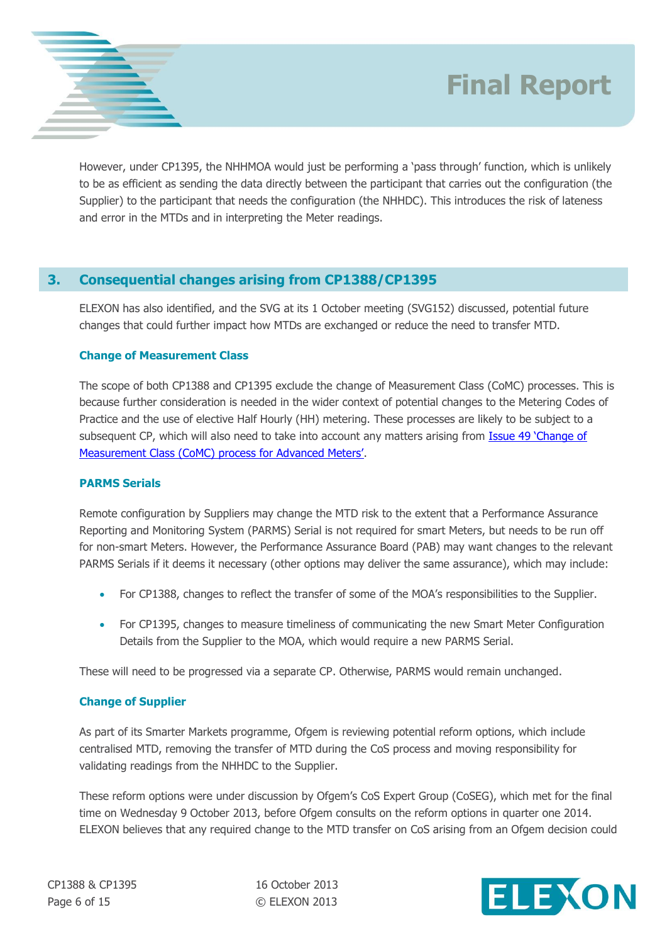

However, under CP1395, the NHHMOA would just be performing a 'pass through' function, which is unlikely to be as efficient as sending the data directly between the participant that carries out the configuration (the Supplier) to the participant that needs the configuration (the NHHDC). This introduces the risk of lateness and error in the MTDs and in interpreting the Meter readings.

## **3. Consequential changes arising from CP1388/CP1395**

ELEXON has also identified, and the SVG at its 1 October meeting (SVG152) discussed, potential future changes that could further impact how MTDs are exchanged or reduce the need to transfer MTD.

### **Change of Measurement Class**

The scope of both CP1388 and CP1395 exclude the change of Measurement Class (CoMC) processes. This is because further consideration is needed in the wider context of potential changes to the Metering Codes of Practice and the use of elective Half Hourly (HH) metering. These processes are likely to be subject to a subsequent CP, which will also need to take into account any matters arising from Issue 49 'Change of [Measurement Class \(CoMC\) process for Advanced Meters'](http://www.elexon.co.uk/smg-issue/issue-49-change-of-measurement-class-comc-process-for-advanced-meters/).

## **PARMS Serials**

Remote configuration by Suppliers may change the MTD risk to the extent that a Performance Assurance Reporting and Monitoring System (PARMS) Serial is not required for smart Meters, but needs to be run off for non-smart Meters. However, the Performance Assurance Board (PAB) may want changes to the relevant PARMS Serials if it deems it necessary (other options may deliver the same assurance), which may include:

- For CP1388, changes to reflect the transfer of some of the MOA's responsibilities to the Supplier.
- For CP1395, changes to measure timeliness of communicating the new Smart Meter Configuration Details from the Supplier to the MOA, which would require a new PARMS Serial.

These will need to be progressed via a separate CP. Otherwise, PARMS would remain unchanged.

## **Change of Supplier**

As part of its Smarter Markets programme, Ofgem is reviewing potential reform options, which include centralised MTD, removing the transfer of MTD during the CoS process and moving responsibility for validating readings from the NHHDC to the Supplier.

These reform options were under discussion by Ofgem's CoS Expert Group (CoSEG), which met for the final time on Wednesday 9 October 2013, before Ofgem consults on the reform options in quarter one 2014. ELEXON believes that any required change to the MTD transfer on CoS arising from an Ofgem decision could

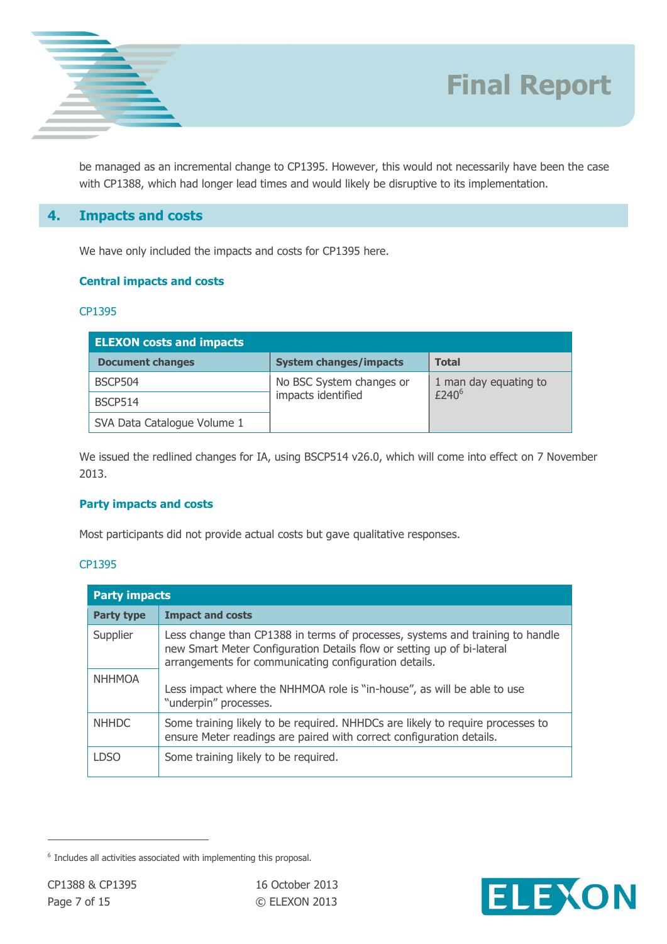

be managed as an incremental change to CP1395. However, this would not necessarily have been the case with CP1388, which had longer lead times and would likely be disruptive to its implementation.

## **4. Impacts and costs**

We have only included the impacts and costs for CP1395 here.

#### **Central impacts and costs**

#### CP1395

| <b>ELEXON costs and impacts</b> |                               |                                |  |  |  |  |  |
|---------------------------------|-------------------------------|--------------------------------|--|--|--|--|--|
| <b>Document changes</b>         | <b>System changes/impacts</b> | <b>Total</b>                   |  |  |  |  |  |
| BSCP504                         | No BSC System changes or      | 1 man day equating to $E240^6$ |  |  |  |  |  |
| BSCP514                         | impacts identified            |                                |  |  |  |  |  |
| SVA Data Catalogue Volume 1     |                               |                                |  |  |  |  |  |

We issued the redlined changes for IA, using BSCP514 v26.0, which will come into effect on 7 November 2013.

#### **Party impacts and costs**

Most participants did not provide actual costs but gave qualitative responses.

#### CP1395

| <b>Party impacts</b> |                                                                                                                                                                                                                  |  |  |  |
|----------------------|------------------------------------------------------------------------------------------------------------------------------------------------------------------------------------------------------------------|--|--|--|
| <b>Party type</b>    | <b>Impact and costs</b>                                                                                                                                                                                          |  |  |  |
| Supplier             | Less change than CP1388 in terms of processes, systems and training to handle<br>new Smart Meter Configuration Details flow or setting up of bi-lateral<br>arrangements for communicating configuration details. |  |  |  |
| <b>NHHMOA</b>        | Less impact where the NHHMOA role is "in-house", as will be able to use<br>"underpin" processes.                                                                                                                 |  |  |  |
| <b>NHHDC</b>         | Some training likely to be required. NHHDCs are likely to require processes to<br>ensure Meter readings are paired with correct configuration details.                                                           |  |  |  |
| I DSO                | Some training likely to be required.                                                                                                                                                                             |  |  |  |



<sup>&</sup>lt;sup>6</sup> Includes all activities associated with implementing this proposal.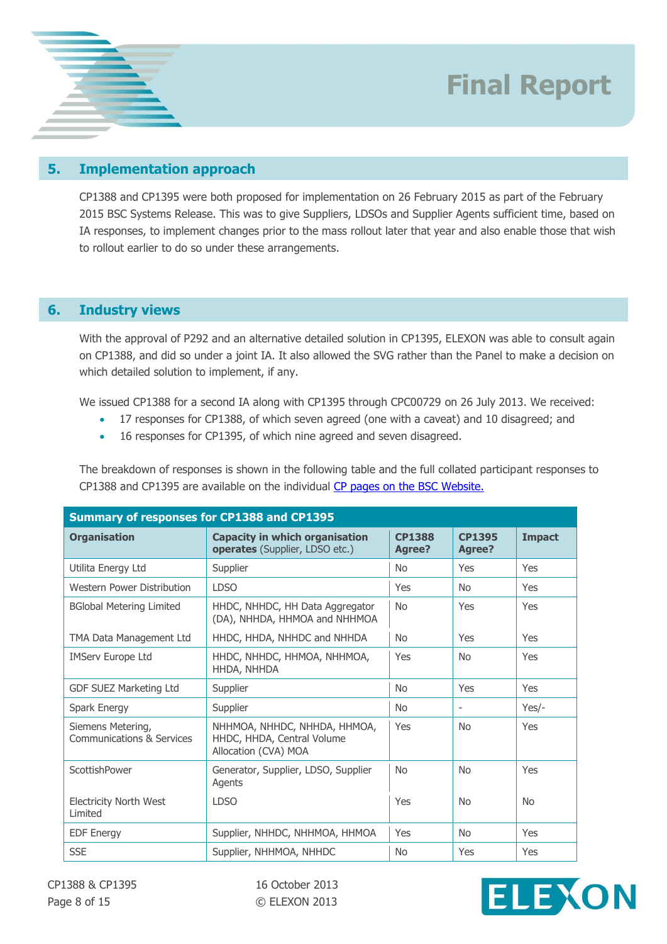



CP1388 and CP1395 were both proposed for implementation on 26 February 2015 as part of the February 2015 BSC Systems Release. This was to give Suppliers, LDSOs and Supplier Agents sufficient time, based on IA responses, to implement changes prior to the mass rollout later that year and also enable those that wish to rollout earlier to do so under these arrangements.

### **6. Industry views**

With the approval of P292 and an alternative detailed solution in CP1395, ELEXON was able to consult again on CP1388, and did so under a joint IA. It also allowed the SVG rather than the Panel to make a decision on which detailed solution to implement, if any.

We issued CP1388 for a second IA along with CP1395 through CPC00729 on 26 July 2013. We received:

- 17 responses for CP1388, of which seven agreed (one with a caveat) and 10 disagreed; and
- 16 responses for CP1395, of which nine agreed and seven disagreed.

The breakdown of responses is shown in the following table and the full collated participant responses to CP1388 and CP1395 are available on the individual [CP pages on the BSC Website.](http://www.elexon.co.uk/change-proposal/cp1395/)

| <b>Summary of responses for CP1388 and CP1395</b> |                                                                                    |                         |                          |               |  |  |  |
|---------------------------------------------------|------------------------------------------------------------------------------------|-------------------------|--------------------------|---------------|--|--|--|
| <b>Organisation</b>                               | <b>Capacity in which organisation</b><br>operates (Supplier, LDSO etc.)            | <b>CP1388</b><br>Agree? | <b>CP1395</b><br>Agree?  | <b>Impact</b> |  |  |  |
| Utilita Energy Ltd                                | Supplier                                                                           | <b>No</b>               | Yes                      | Yes           |  |  |  |
| Western Power Distribution                        | <b>LDSO</b>                                                                        | Yes                     | <b>No</b>                | Yes           |  |  |  |
| <b>BGlobal Metering Limited</b>                   | HHDC, NHHDC, HH Data Aggregator<br>(DA), NHHDA, HHMOA and NHHMOA                   | <b>No</b>               | Yes                      | Yes           |  |  |  |
| TMA Data Management Ltd                           | HHDC, HHDA, NHHDC and NHHDA                                                        | <b>No</b>               | Yes                      | Yes           |  |  |  |
| <b>IMServ Europe Ltd</b>                          | HHDC, NHHDC, HHMOA, NHHMOA,<br>HHDA, NHHDA                                         | Yes                     | <b>No</b>                | Yes           |  |  |  |
| GDF SUEZ Marketing Ltd                            | Supplier                                                                           | <b>No</b>               | Yes                      | Yes           |  |  |  |
| Spark Energy                                      | Supplier                                                                           | <b>No</b>               | $\overline{\phantom{a}}$ | $Yes/-$       |  |  |  |
| Siemens Metering,<br>Communications & Services    | NHHMOA, NHHDC, NHHDA, HHMOA,<br>HHDC, HHDA, Central Volume<br>Allocation (CVA) MOA | Yes                     | N <sub>0</sub>           | Yes           |  |  |  |
| ScottishPower                                     | Generator, Supplier, LDSO, Supplier<br>Agents                                      | <b>No</b>               | <b>No</b>                | Yes           |  |  |  |
| <b>Electricity North West</b><br>Limited          | <b>LDSO</b>                                                                        | Yes                     | <b>No</b>                | <b>No</b>     |  |  |  |
| <b>EDF Energy</b>                                 | Supplier, NHHDC, NHHMOA, HHMOA                                                     | Yes                     | No.                      | Yes           |  |  |  |
| <b>SSE</b>                                        | Supplier, NHHMOA, NHHDC                                                            | <b>No</b>               | Yes                      | Yes           |  |  |  |

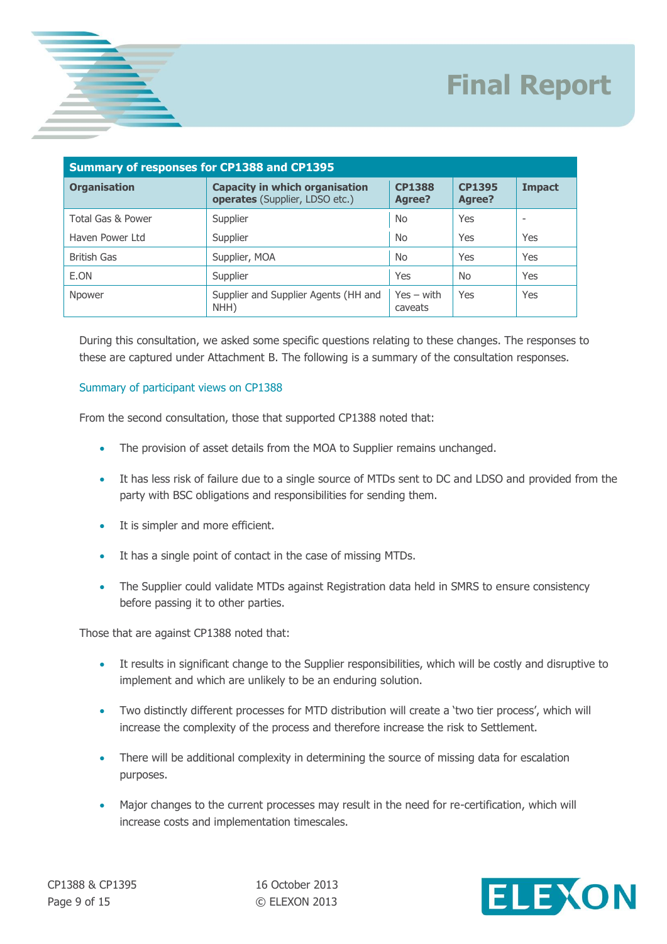

| <b>Summary of responses for CP1388 and CP1395</b> |                                                                         |                         |                         |               |  |  |  |
|---------------------------------------------------|-------------------------------------------------------------------------|-------------------------|-------------------------|---------------|--|--|--|
| <b>Organisation</b>                               | <b>Capacity in which organisation</b><br>operates (Supplier, LDSO etc.) | <b>CP1388</b><br>Agree? | <b>CP1395</b><br>Agree? | <b>Impact</b> |  |  |  |
| Total Gas & Power                                 | Supplier                                                                | <b>No</b>               | Yes                     |               |  |  |  |
| Haven Power Ltd                                   | Supplier                                                                | <b>No</b>               | Yes                     | Yes           |  |  |  |
| British Gas                                       | Supplier, MOA                                                           | <b>No</b>               | Yes                     | Yes           |  |  |  |
| E.ON                                              | Supplier                                                                | Yes                     | <b>No</b>               | Yes           |  |  |  |
| Npower                                            | Supplier and Supplier Agents (HH and<br>NHH)                            | $Yes - with$<br>caveats | Yes                     | Yes           |  |  |  |

During this consultation, we asked some specific questions relating to these changes. The responses to these are captured under Attachment B. The following is a summary of the consultation responses.

#### Summary of participant views on CP1388

From the second consultation, those that supported CP1388 noted that:

- The provision of asset details from the MOA to Supplier remains unchanged.
- It has less risk of failure due to a single source of MTDs sent to DC and LDSO and provided from the party with BSC obligations and responsibilities for sending them.
- It is simpler and more efficient.
- It has a single point of contact in the case of missing MTDs.
- The Supplier could validate MTDs against Registration data held in SMRS to ensure consistency before passing it to other parties.

Those that are against CP1388 noted that:

- It results in significant change to the Supplier responsibilities, which will be costly and disruptive to implement and which are unlikely to be an enduring solution.
- Two distinctly different processes for MTD distribution will create a 'two tier process', which will increase the complexity of the process and therefore increase the risk to Settlement.
- There will be additional complexity in determining the source of missing data for escalation purposes.
- Major changes to the current processes may result in the need for re-certification, which will increase costs and implementation timescales.

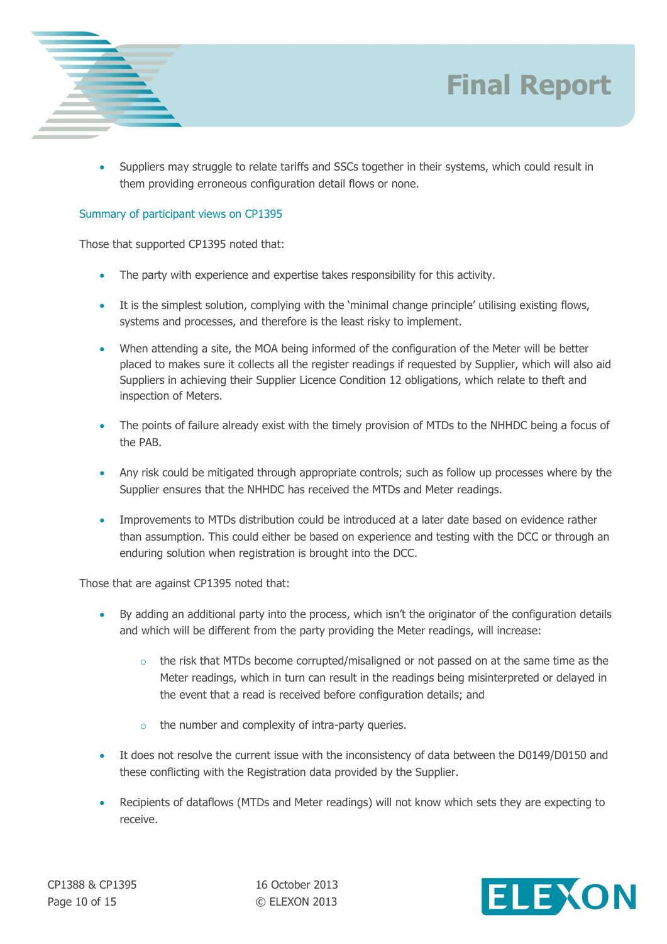



 Suppliers may struggle to relate tariffs and SSCs together in their systems, which could result in them providing erroneous configuration detail flows or none.

#### Summary of participant views on CP1395

Those that supported CP1395 noted that:

- The party with experience and expertise takes responsibility for this activity.
- It is the simplest solution, complying with the 'minimal change principle' utilising existing flows, systems and processes, and therefore is the least risky to implement.
- When attending a site, the MOA being informed of the configuration of the Meter will be better placed to makes sure it collects all the register readings if requested by Supplier, which will also aid Suppliers in achieving their Supplier Licence Condition 12 obligations, which relate to theft and inspection of Meters.
- The points of failure already exist with the timely provision of MTDs to the NHHDC being a focus of the PAB.
- Any risk could be mitigated through appropriate controls; such as follow up processes where by the Supplier ensures that the NHHDC has received the MTDs and Meter readings.
- Improvements to MTDs distribution could be introduced at a later date based on evidence rather than assumption. This could either be based on experience and testing with the DCC or through an enduring solution when registration is brought into the DCC.

Those that are against CP1395 noted that:

- By adding an additional party into the process, which isn't the originator of the configuration details and which will be different from the party providing the Meter readings, will increase:
	- $\circ$  the risk that MTDs become corrupted/misaligned or not passed on at the same time as the Meter readings, which in turn can result in the readings being misinterpreted or delayed in the event that a read is received before configuration details; and
	- o the number and complexity of intra-party queries.
- It does not resolve the current issue with the inconsistency of data between the D0149/D0150 and these conflicting with the Registration data provided by the Supplier.
- Recipients of dataflows (MTDs and Meter readings) will not know which sets they are expecting to receive.

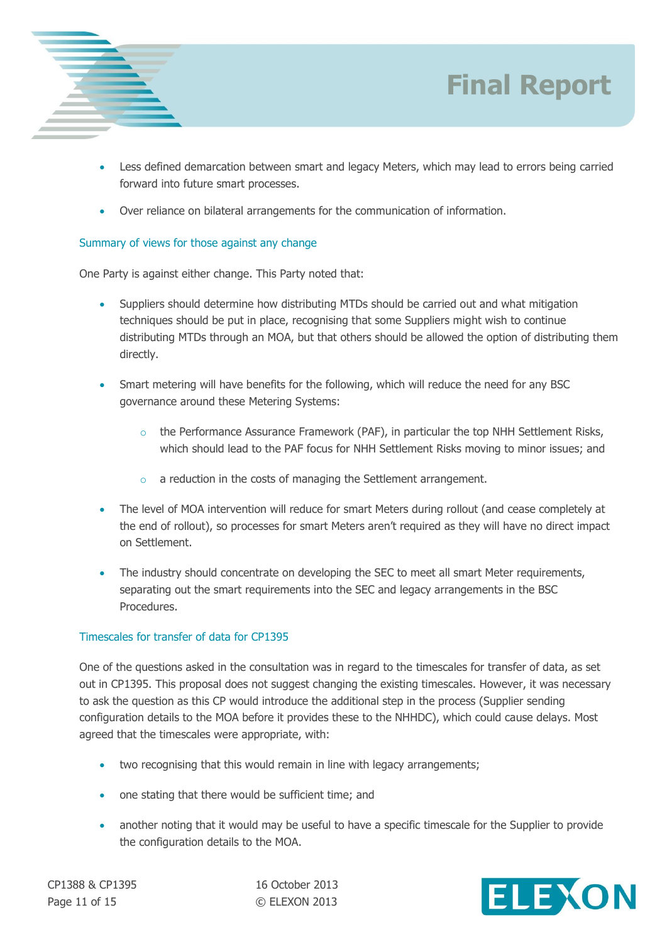



- Less defined demarcation between smart and legacy Meters, which may lead to errors being carried forward into future smart processes.
- Over reliance on bilateral arrangements for the communication of information.

#### Summary of views for those against any change

One Party is against either change. This Party noted that:

- Suppliers should determine how distributing MTDs should be carried out and what mitigation techniques should be put in place, recognising that some Suppliers might wish to continue distributing MTDs through an MOA, but that others should be allowed the option of distributing them directly.
- Smart metering will have benefits for the following, which will reduce the need for any BSC governance around these Metering Systems:
	- o the Performance Assurance Framework (PAF), in particular the top NHH Settlement Risks, which should lead to the PAF focus for NHH Settlement Risks moving to minor issues; and
	- $\circ$  a reduction in the costs of managing the Settlement arrangement.
- The level of MOA intervention will reduce for smart Meters during rollout (and cease completely at the end of rollout), so processes for smart Meters aren't required as they will have no direct impact on Settlement.
- The industry should concentrate on developing the SEC to meet all smart Meter requirements, separating out the smart requirements into the SEC and legacy arrangements in the BSC Procedures.

#### Timescales for transfer of data for CP1395

One of the questions asked in the consultation was in regard to the timescales for transfer of data, as set out in CP1395. This proposal does not suggest changing the existing timescales. However, it was necessary to ask the question as this CP would introduce the additional step in the process (Supplier sending configuration details to the MOA before it provides these to the NHHDC), which could cause delays. Most agreed that the timescales were appropriate, with:

- two recognising that this would remain in line with legacy arrangements;
- one stating that there would be sufficient time; and
- another noting that it would may be useful to have a specific timescale for the Supplier to provide the configuration details to the MOA.

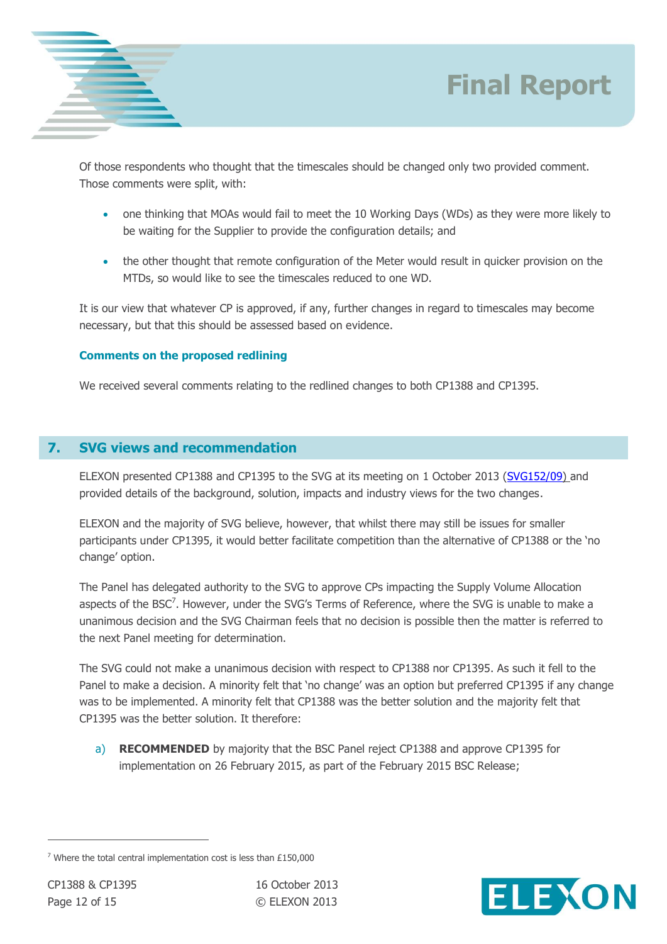

Of those respondents who thought that the timescales should be changed only two provided comment. Those comments were split, with:

- one thinking that MOAs would fail to meet the 10 Working Days (WDs) as they were more likely to be waiting for the Supplier to provide the configuration details; and
- the other thought that remote configuration of the Meter would result in quicker provision on the MTDs, so would like to see the timescales reduced to one WD.

It is our view that whatever CP is approved, if any, further changes in regard to timescales may become necessary, but that this should be assessed based on evidence.

### **Comments on the proposed redlining**

We received several comments relating to the redlined changes to both CP1388 and CP1395.

## **7. SVG views and recommendation**

ELEXON presented CP1388 and CP1395 to the SVG at its meeting on 1 October 2013 [\(SVG152/09\)](http://www.elexon.co.uk/meeting/svg-152) and provided details of the background, solution, impacts and industry views for the two changes.

ELEXON and the majority of SVG believe, however, that whilst there may still be issues for smaller participants under CP1395, it would better facilitate competition than the alternative of CP1388 or the 'no change' option.

The Panel has delegated authority to the SVG to approve CPs impacting the Supply Volume Allocation aspects of the BSC<sup>7</sup>. However, under the SVG's Terms of Reference, where the SVG is unable to make a unanimous decision and the SVG Chairman feels that no decision is possible then the matter is referred to the next Panel meeting for determination.

The SVG could not make a unanimous decision with respect to CP1388 nor CP1395. As such it fell to the Panel to make a decision. A minority felt that 'no change' was an option but preferred CP1395 if any change was to be implemented. A minority felt that CP1388 was the better solution and the majority felt that CP1395 was the better solution. It therefore:

a) **RECOMMENDED** by majority that the BSC Panel reject CP1388 and approve CP1395 for implementation on 26 February 2015, as part of the February 2015 BSC Release;



 $7$  Where the total central implementation cost is less than £150,000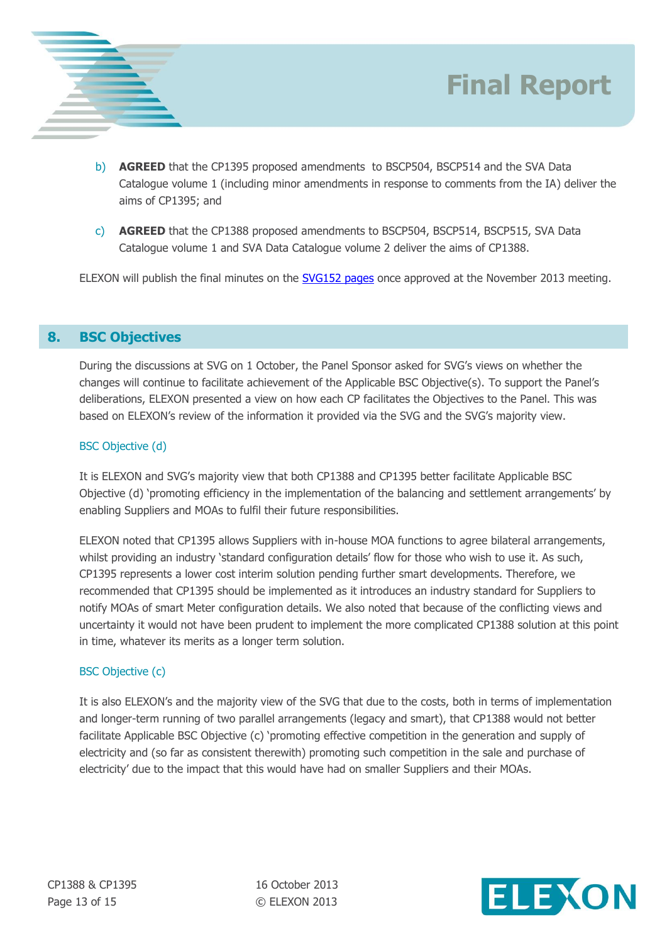



c) **AGREED** that the CP1388 proposed amendments to BSCP504, BSCP514, BSCP515, SVA Data Catalogue volume 1 and SVA Data Catalogue volume 2 deliver the aims of CP1388.

ELEXON will publish the final minutes on the **SVG152 pages** once approved at the November 2013 meeting.

### **8. BSC Objectives**

During the discussions at SVG on 1 October, the Panel Sponsor asked for SVG's views on whether the changes will continue to facilitate achievement of the Applicable BSC Objective(s). To support the Panel's deliberations, ELEXON presented a view on how each CP facilitates the Objectives to the Panel. This was based on ELEXON's review of the information it provided via the SVG and the SVG's majority view.

#### BSC Objective (d)

It is ELEXON and SVG's majority view that both CP1388 and CP1395 better facilitate Applicable BSC Objective (d) 'promoting efficiency in the implementation of the balancing and settlement arrangements' by enabling Suppliers and MOAs to fulfil their future responsibilities.

ELEXON noted that CP1395 allows Suppliers with in-house MOA functions to agree bilateral arrangements, whilst providing an industry 'standard configuration details' flow for those who wish to use it. As such, CP1395 represents a lower cost interim solution pending further smart developments. Therefore, we recommended that CP1395 should be implemented as it introduces an industry standard for Suppliers to notify MOAs of smart Meter configuration details. We also noted that because of the conflicting views and uncertainty it would not have been prudent to implement the more complicated CP1388 solution at this point in time, whatever its merits as a longer term solution.

#### BSC Objective (c)

It is also ELEXON's and the majority view of the SVG that due to the costs, both in terms of implementation and longer-term running of two parallel arrangements (legacy and smart), that CP1388 would not better facilitate Applicable BSC Objective (c) 'promoting effective competition in the generation and supply of electricity and (so far as consistent therewith) promoting such competition in the sale and purchase of electricity' due to the impact that this would have had on smaller Suppliers and their MOAs.

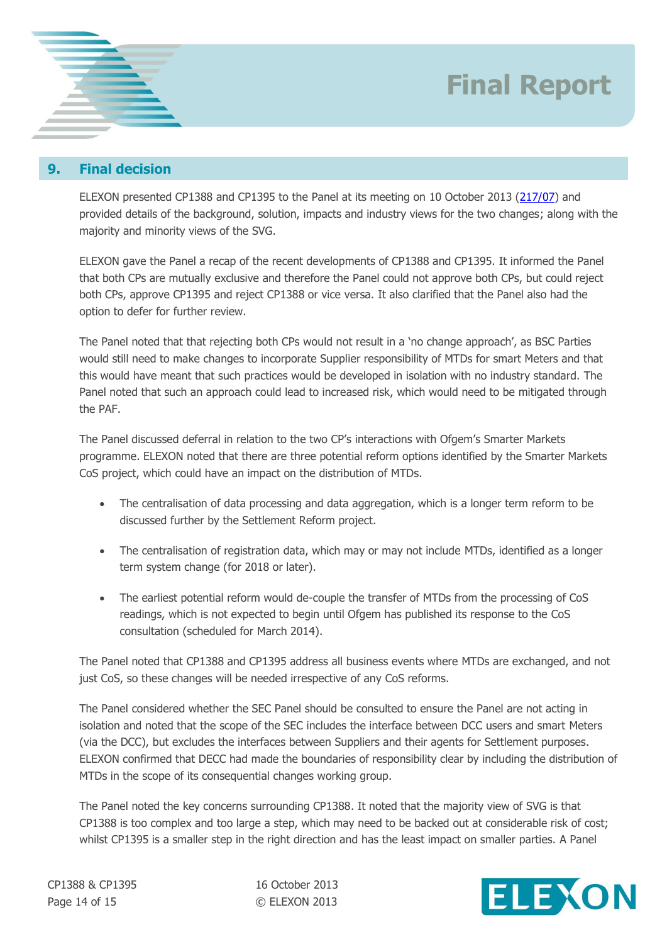

## **9. Final decision**

ELEXON presented CP1388 and CP1395 to the Panel at its meeting on 10 October 2013 [\(217/07\)](http://www.elexon.co.uk/meeting/bsc-panel-217/) and provided details of the background, solution, impacts and industry views for the two changes; along with the majority and minority views of the SVG.

ELEXON gave the Panel a recap of the recent developments of CP1388 and CP1395. It informed the Panel that both CPs are mutually exclusive and therefore the Panel could not approve both CPs, but could reject both CPs, approve CP1395 and reject CP1388 or vice versa. It also clarified that the Panel also had the option to defer for further review.

The Panel noted that that rejecting both CPs would not result in a 'no change approach', as BSC Parties would still need to make changes to incorporate Supplier responsibility of MTDs for smart Meters and that this would have meant that such practices would be developed in isolation with no industry standard. The Panel noted that such an approach could lead to increased risk, which would need to be mitigated through the PAF.

The Panel discussed deferral in relation to the two CP's interactions with Ofgem's Smarter Markets programme. ELEXON noted that there are three potential reform options identified by the Smarter Markets CoS project, which could have an impact on the distribution of MTDs.

- The centralisation of data processing and data aggregation, which is a longer term reform to be discussed further by the Settlement Reform project.
- The centralisation of registration data, which may or may not include MTDs, identified as a longer term system change (for 2018 or later).
- The earliest potential reform would de-couple the transfer of MTDs from the processing of CoS readings, which is not expected to begin until Ofgem has published its response to the CoS consultation (scheduled for March 2014).

The Panel noted that CP1388 and CP1395 address all business events where MTDs are exchanged, and not just CoS, so these changes will be needed irrespective of any CoS reforms.

The Panel considered whether the SEC Panel should be consulted to ensure the Panel are not acting in isolation and noted that the scope of the SEC includes the interface between DCC users and smart Meters (via the DCC), but excludes the interfaces between Suppliers and their agents for Settlement purposes. ELEXON confirmed that DECC had made the boundaries of responsibility clear by including the distribution of MTDs in the scope of its consequential changes working group.

The Panel noted the key concerns surrounding CP1388. It noted that the majority view of SVG is that CP1388 is too complex and too large a step, which may need to be backed out at considerable risk of cost; whilst CP1395 is a smaller step in the right direction and has the least impact on smaller parties. A Panel